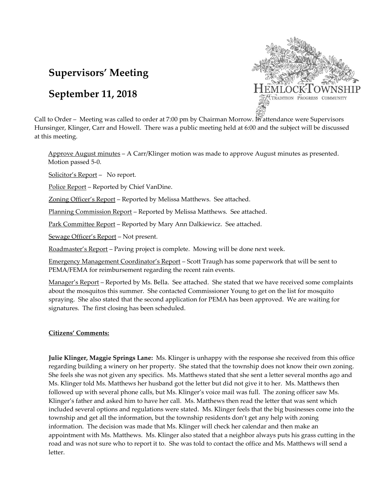# **Supervisors' Meeting**

## **September 11, 2018**



Call to Order – Meeting was called to order at 7:00 pm by Chairman Morrow. In attendance were Supervisors Hunsinger, Klinger, Carr and Howell. There was a public meeting held at 6:00 and the subject will be discussed at this meeting.

Approve August minutes – A Carr/Klinger motion was made to approve August minutes as presented. Motion passed 5-0.

Solicitor's Report – No report.

Police Report – Reported by Chief VanDine.

Zoning Officer's Report – Reported by Melissa Matthews. See attached.

Planning Commission Report – Reported by Melissa Matthews. See attached.

Park Committee Report – Reported by Mary Ann Dalkiewicz. See attached.

Sewage Officer's Report – Not present.

Roadmaster's Report – Paving project is complete. Mowing will be done next week.

Emergency Management Coordinator's Report – Scott Traugh has some paperwork that will be sent to PEMA/FEMA for reimbursement regarding the recent rain events.

Manager's Report – Reported by Ms. Bella. See attached. She stated that we have received some complaints about the mosquitos this summer. She contacted Commissioner Young to get on the list for mosquito spraying. She also stated that the second application for PEMA has been approved. We are waiting for signatures. The first closing has been scheduled.

## **Citizens' Comments:**

**Julie Klinger, Maggie Springs Lane:** Ms. Klinger is unhappy with the response she received from this office regarding building a winery on her property. She stated that the township does not know their own zoning. She feels she was not given any specifics. Ms. Matthews stated that she sent a letter several months ago and Ms. Klinger told Ms. Matthews her husband got the letter but did not give it to her. Ms. Matthews then followed up with several phone calls, but Ms. Klinger's voice mail was full. The zoning officer saw Ms. Klinger's father and asked him to have her call. Ms. Matthews then read the letter that was sent which included several options and regulations were stated. Ms. Klinger feels that the big businesses come into the township and get all the information, but the township residents don't get any help with zoning information. The decision was made that Ms. Klinger will check her calendar and then make an appointment with Ms. Matthews. Ms. Klinger also stated that a neighbor always puts his grass cutting in the road and was not sure who to report it to. She was told to contact the office and Ms. Matthews will send a letter.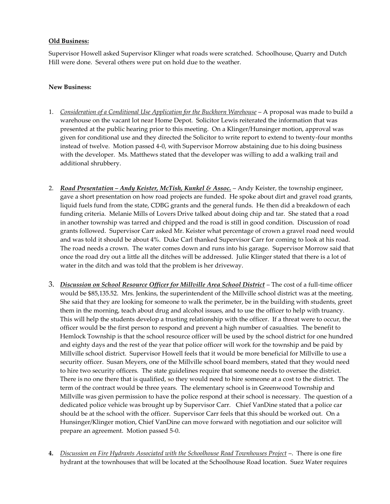#### **Old Business:**

Supervisor Howell asked Supervisor Klinger what roads were scratched. Schoolhouse, Quarry and Dutch Hill were done. Several others were put on hold due to the weather.

#### **New Business:**

- 1. *Consideration of a Conditional Use Application for the Buckhorn Warehouse* A proposal was made to build a warehouse on the vacant lot near Home Depot. Solicitor Lewis reiterated the information that was presented at the public hearing prior to this meeting. On a Klinger/Hunsinger motion, approval was given for conditional use and they directed the Solicitor to write report to extend to twenty-four months instead of twelve. Motion passed 4-0, with Supervisor Morrow abstaining due to his doing business with the developer. Ms. Matthews stated that the developer was willing to add a walking trail and additional shrubbery.
- 2. *Road Presentation Andy Keister, McTish, Kunkel & Assoc.* Andy Keister, the township engineer, gave a short presentation on how road projects are funded. He spoke about dirt and gravel road grants, liquid fuels fund from the state, CDBG grants and the general funds. He then did a breakdown of each funding criteria. Melanie Mills of Lovers Drive talked about doing chip and tar. She stated that a road in another township was tarred and chipped and the road is still in good condition. Discussion of road grants followed. Supervisor Carr asked Mr. Keister what percentage of crown a gravel road need would and was told it should be about 4%. Duke Carl thanked Supervisor Carr for coming to look at his road. The road needs a crown. The water comes down and runs into his garage. Supervisor Morrow said that once the road dry out a little all the ditches will be addressed. Julie Klinger stated that there is a lot of water in the ditch and was told that the problem is her driveway.
- 3. *Discussion on School Resource Officer for Millville Area School District* The cost of a full-time officer would be \$85,135.52. Mrs. Jenkins, the superintendent of the Millville school district was at the meeting. She said that they are looking for someone to walk the perimeter, be in the building with students, greet them in the morning, teach about drug and alcohol issues, and to use the officer to help with truancy. This will help the students develop a trusting relationship with the officer. If a threat were to occur, the officer would be the first person to respond and prevent a high number of casualties. The benefit to Hemlock Township is that the school resource officer will be used by the school district for one hundred and eighty days and the rest of the year that police officer will work for the township and be paid by Millville school district. Supervisor Howell feels that it would be more beneficial for Millville to use a security officer. Susan Meyers, one of the Millville school board members, stated that they would need to hire two security officers. The state guidelines require that someone needs to oversee the district. There is no one there that is qualified, so they would need to hire someone at a cost to the district. The term of the contract would be three years. The elementary school is in Greenwood Township and Millville was given permission to have the police respond at their school is necessary. The question of a dedicated police vehicle was brought up by Supervisor Carr. Chief VanDine stated that a police car should be at the school with the officer. Supervisor Carr feels that this should be worked out. On a Hunsinger/Klinger motion, Chief VanDine can move forward with negotiation and our solicitor will prepare an agreement. Motion passed 5-0.
- **4.** *Discussion on Fire Hydrants Associated with the Schoolhouse Road Townhouses Project* –. There is one fire hydrant at the townhouses that will be located at the Schoolhouse Road location. Suez Water requires